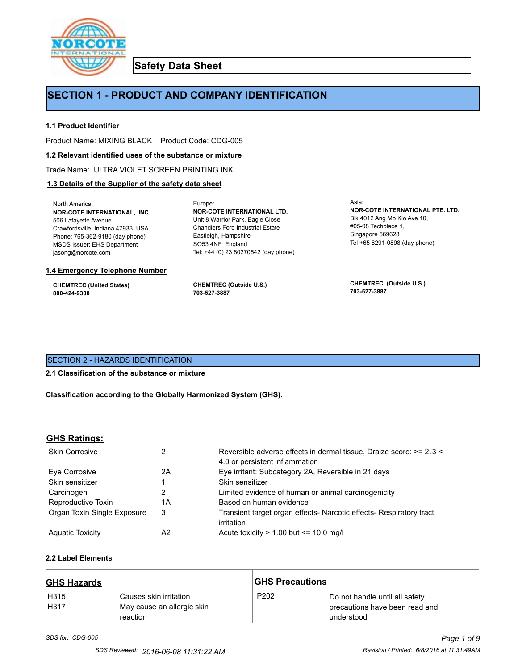

**Safety Data Sheet**

# **SECTION 1 - PRODUCT AND COMPANY IDENTIFICATION**

Europe:

# **1.1 Product Identifier**

Product Name: MIXING BLACK Product Code: CDG-005

#### **1.2 Relevant identified uses of the substance or mixture**

Trade Name: ULTRA VIOLET SCREEN PRINTING INK

# **1.3 Details of the Supplier of the safety data sheet**

North America: **NOR-COTE INTERNATIONAL, INC.** 506 Lafayette Avenue Crawfordsville, Indiana 47933 USA Phone: 765-362-9180 (day phone) MSDS Issuer: EHS Department jasong@norcote.com

#### **1.4 Emergency Telephone Number**

**CHEMTREC (United States) 800-424-9300**

**CHEMTREC (Outside U.S.) 703-527-3887**

Eastleigh, Hampshire SO53 4NF England

**NOR-COTE INTERNATIONAL LTD.** Unit 8 Warrior Park, Eagle Close Chandlers Ford Industrial Estate

Tel: +44 (0) 23 80270542 (day phone)

Asia: **NOR-COTE INTERNATIONAL PTE. LTD.** Blk 4012 Ang Mo Kio Ave 10, #05-08 Techplace 1, Singapore 569628 Tel +65 6291-0898 (day phone)

**CHEMTREC (Outside U.S.) 703-527-3887**

# SECTION 2 - HAZARDS IDENTIFICATION

# **2.1 Classification of the substance or mixture**

**Classification according to the Globally Harmonized System (GHS).**

# **GHS Ratings:**

| <b>Skin Corrosive</b>       | 2  | Reversible adverse effects in dermal tissue, Draize score: >= 2.3 <<br>4.0 or persistent inflammation |
|-----------------------------|----|-------------------------------------------------------------------------------------------------------|
| Eve Corrosive               | 2A | Eye irritant: Subcategory 2A, Reversible in 21 days                                                   |
| Skin sensitizer             |    | Skin sensitizer                                                                                       |
| Carcinogen                  |    | Limited evidence of human or animal carcinogenicity                                                   |
| Reproductive Toxin          | 1A | Based on human evidence                                                                               |
| Organ Toxin Single Exposure | 3  | Transient target organ effects- Narcotic effects- Respiratory tract<br>irritation                     |
| <b>Aguatic Toxicity</b>     | A2 | Acute toxicity $> 1.00$ but $\leq 10.0$ mg/l                                                          |

# **2.2 Label Elements**

| <b>GHS Hazards</b>       |                                                                  | <b>GHS Precautions</b> |                                                                                |
|--------------------------|------------------------------------------------------------------|------------------------|--------------------------------------------------------------------------------|
| H <sub>315</sub><br>H317 | Causes skin irritation<br>May cause an allergic skin<br>reaction | P <sub>202</sub>       | Do not handle until all safety<br>precautions have been read and<br>understood |

# *SDS for: CDG-005 Page 1 of 9*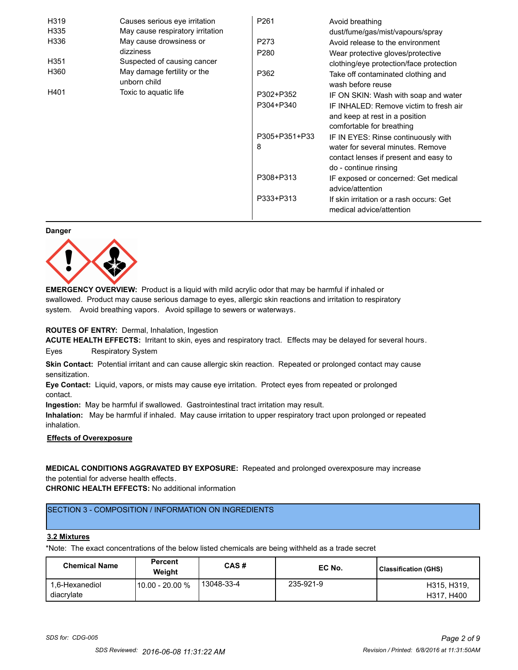| H319 | Causes serious eye irritation               | P <sub>261</sub> | Avoid breathing                                                      |
|------|---------------------------------------------|------------------|----------------------------------------------------------------------|
| H335 | May cause respiratory irritation            |                  | dust/fume/gas/mist/vapours/spray                                     |
| H336 | May cause drowsiness or                     | P273             | Avoid release to the environment                                     |
|      | dizziness                                   | P <sub>280</sub> | Wear protective gloves/protective                                    |
| H351 | Suspected of causing cancer                 |                  | clothing/eye protection/face protection                              |
| H360 | May damage fertility or the<br>unborn child | P362             | Take off contaminated clothing and<br>wash before reuse              |
| H401 | Toxic to aquatic life                       | P302+P352        | IF ON SKIN: Wash with soap and water                                 |
|      |                                             | P304+P340        | IF INHALED: Remove victim to fresh air                               |
|      |                                             |                  | and keep at rest in a position                                       |
|      |                                             |                  | comfortable for breathing                                            |
|      |                                             | P305+P351+P33    | IF IN EYES: Rinse continuously with                                  |
|      |                                             | 8                | water for several minutes. Remove                                    |
|      |                                             |                  | contact lenses if present and easy to                                |
|      |                                             |                  | do - continue rinsing                                                |
|      |                                             | P308+P313        | IF exposed or concerned: Get medical                                 |
|      |                                             |                  | advice/attention                                                     |
|      |                                             | P333+P313        | If skin irritation or a rash occurs: Get<br>medical advice/attention |

#### **Danger**



**EMERGENCY OVERVIEW:** Product is a liquid with mild acrylic odor that may be harmful if inhaled or swallowed. Product may cause serious damage to eyes, allergic skin reactions and irritation to respiratory system. Avoid breathing vapors. Avoid spillage to sewers or waterways.

#### **ROUTES OF ENTRY:** Dermal, Inhalation, Ingestion

**ACUTE HEALTH EFFECTS:** Irritant to skin, eyes and respiratory tract. Effects may be delayed for several hours. Eyes Respiratory System

**Skin Contact:** Potential irritant and can cause allergic skin reaction. Repeated or prolonged contact may cause sensitization.

**Eye Contact:** Liquid, vapors, or mists may cause eye irritation. Protect eyes from repeated or prolonged contact.

**Ingestion:** May be harmful if swallowed. Gastrointestinal tract irritation may result.

**Inhalation:** May be harmful if inhaled. May cause irritation to upper respiratory tract upon prolonged or repeated inhalation.

# **Effects of Overexposure**

**MEDICAL CONDITIONS AGGRAVATED BY EXPOSURE:** Repeated and prolonged overexposure may increase the potential for adverse health effects.

**CHRONIC HEALTH EFFECTS:** No additional information

# SECTION 3 - COMPOSITION / INFORMATION ON INGREDIENTS

# **3.2 Mixtures**

\*Note: The exact concentrations of the below listed chemicals are being withheld as a trade secret

| <b>Chemical Name</b>         | <b>Percent</b><br>Weight | CAS#       | EC No.    | <b>Classification (GHS)</b> |
|------------------------------|--------------------------|------------|-----------|-----------------------------|
| 1.6-Hexanediol<br>diacrylate | l 10.00 - 20.00 %        | 13048-33-4 | 235-921-9 | H315, H319,<br>H317, H400   |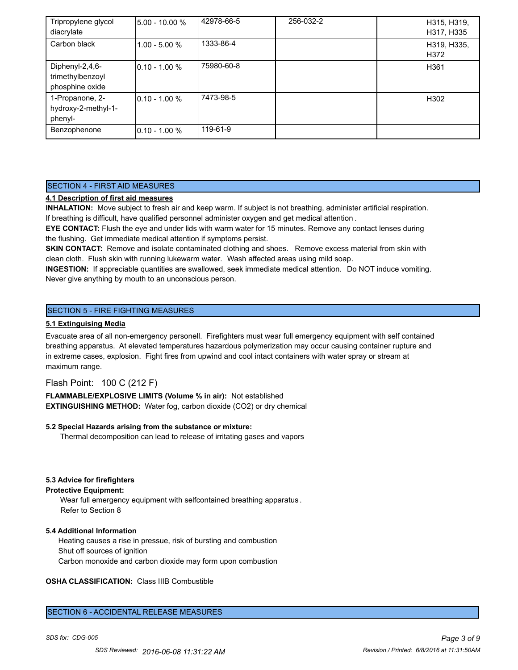| Tripropylene glycol<br>diacrylate                      | 5.00 - 10.00 %   | 42978-66-5 | 256-032-2 | H315, H319,<br>H317, H335 |
|--------------------------------------------------------|------------------|------------|-----------|---------------------------|
| Carbon black                                           | 1.00 - 5.00 %    | 1333-86-4  |           | H319, H335,<br>H372       |
| Diphenyl-2,4,6-<br>trimethylbenzoyl<br>phosphine oxide | $10.10 - 1.00 %$ | 75980-60-8 |           | H361                      |
| 1-Propanone, 2-<br>hydroxy-2-methyl-1-<br>phenyl-      | $10.10 - 1.00 %$ | 7473-98-5  |           | H302                      |
| Benzophenone                                           | $10.10 - 1.00 %$ | 119-61-9   |           |                           |

# SECTION 4 - FIRST AID MEASURES

# **4.1 Description of first aid measures**

**INHALATION:** Move subject to fresh air and keep warm. If subject is not breathing, administer artificial respiration. If breathing is difficult, have qualified personnel administer oxygen and get medical attention .

**EYE CONTACT:** Flush the eye and under lids with warm water for 15 minutes. Remove any contact lenses during the flushing. Get immediate medical attention if symptoms persist.

**SKIN CONTACT:** Remove and isolate contaminated clothing and shoes. Remove excess material from skin with clean cloth. Flush skin with running lukewarm water. Wash affected areas using mild soap.

**INGESTION:** If appreciable quantities are swallowed, seek immediate medical attention. Do NOT induce vomiting. Never give anything by mouth to an unconscious person.

# SECTION 5 - FIRE FIGHTING MEASURES

#### **5.1 Extinguising Media**

Evacuate area of all non-emergency personell. Firefighters must wear full emergency equipment with self contained breathing apparatus. At elevated temperatures hazardous polymerization may occur causing container rupture and in extreme cases, explosion. Fight fires from upwind and cool intact containers with water spray or stream at maximum range.

Flash Point: 100 C (212 F)

**FLAMMABLE/EXPLOSIVE LIMITS (Volume % in air):** Not established **EXTINGUISHING METHOD:** Water fog, carbon dioxide (CO2) or dry chemical

#### **5.2 Special Hazards arising from the substance or mixture:**

Thermal decomposition can lead to release of irritating gases and vapors

#### **5.3 Advice for firefighters**

#### **Protective Equipment:**

Wear full emergency equipment with selfcontained breathing apparatus . Refer to Section 8

#### **5.4 Additional Information**

 Heating causes a rise in pressue, risk of bursting and combustion Shut off sources of ignition Carbon monoxide and carbon dioxide may form upon combustion

# **OSHA CLASSIFICATION:** Class IIIB Combustible

#### SECTION 6 - ACCIDENTAL RELEASE MEASURES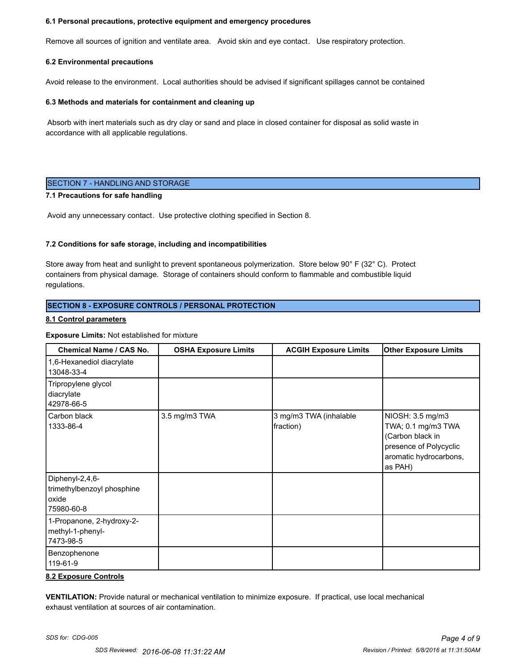#### **6.1 Personal precautions, protective equipment and emergency procedures**

Remove all sources of ignition and ventilate area. Avoid skin and eye contact. Use respiratory protection.

#### **6.2 Environmental precautions**

Avoid release to the environment. Local authorities should be advised if significant spillages cannot be contained

#### **6.3 Methods and materials for containment and cleaning up**

 Absorb with inert materials such as dry clay or sand and place in closed container for disposal as solid waste in accordance with all applicable regulations.

#### SECTION 7 - HANDLING AND STORAGE

# **7.1 Precautions for safe handling**

Avoid any unnecessary contact. Use protective clothing specified in Section 8.

#### **7.2 Conditions for safe storage, including and incompatibilities**

Store away from heat and sunlight to prevent spontaneous polymerization. Store below 90° F (32° C). Protect containers from physical damage. Storage of containers should conform to flammable and combustible liquid regulations.

#### **SECTION 8 - EXPOSURE CONTROLS / PERSONAL PROTECTION**

#### **8.1 Control parameters**

#### **Exposure Limits:** Not established for mixture

| <b>Chemical Name / CAS No.</b>                                       | <b>OSHA Exposure Limits</b> | <b>ACGIH Exposure Limits</b>        | <b>Other Exposure Limits</b>                                                                                              |
|----------------------------------------------------------------------|-----------------------------|-------------------------------------|---------------------------------------------------------------------------------------------------------------------------|
| 1,6-Hexanediol diacrylate<br>13048-33-4                              |                             |                                     |                                                                                                                           |
| Tripropylene glycol<br>diacrylate<br>42978-66-5                      |                             |                                     |                                                                                                                           |
| Carbon black<br>1333-86-4                                            | 3.5 mg/m3 TWA               | 3 mg/m3 TWA (inhalable<br>fraction) | NIOSH: 3.5 mg/m3<br>TWA; 0.1 mg/m3 TWA<br>(Carbon black in<br>presence of Polycyclic<br>aromatic hydrocarbons,<br>as PAH) |
| Diphenyl-2,4,6-<br>trimethylbenzoyl phosphine<br>oxide<br>75980-60-8 |                             |                                     |                                                                                                                           |
| 1-Propanone, 2-hydroxy-2-<br>methyl-1-phenyl-<br>7473-98-5           |                             |                                     |                                                                                                                           |
| Benzophenone<br>119-61-9                                             |                             |                                     |                                                                                                                           |

#### **8.2 Exposure Controls**

**VENTILATION:** Provide natural or mechanical ventilation to minimize exposure. If practical, use local mechanical exhaust ventilation at sources of air contamination.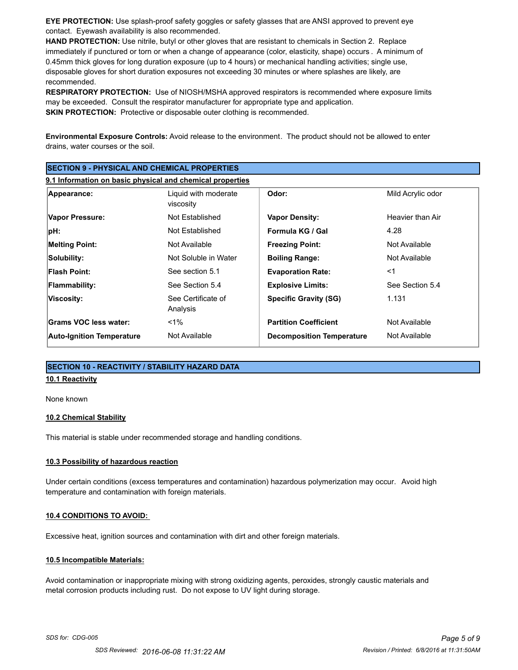**EYE PROTECTION:** Use splash-proof safety goggles or safety glasses that are ANSI approved to prevent eye contact. Eyewash availability is also recommended.

**HAND PROTECTION:** Use nitrile, butyl or other gloves that are resistant to chemicals in Section 2. Replace immediately if punctured or torn or when a change of appearance (color, elasticity, shape) occurs . A minimum of 0.45mm thick gloves for long duration exposure (up to 4 hours) or mechanical handling activities; single use, disposable gloves for short duration exposures not exceeding 30 minutes or where splashes are likely, are recommended.

**RESPIRATORY PROTECTION:** Use of NIOSH/MSHA approved respirators is recommended where exposure limits may be exceeded. Consult the respirator manufacturer for appropriate type and application. **SKIN PROTECTION:** Protective or disposable outer clothing is recommended.

**Environmental Exposure Controls:** Avoid release to the environment. The product should not be allowed to enter drains, water courses or the soil.

| <b>ISECTION 9 - PHYSICAL AND CHEMICAL PROPERTIES</b><br>9.1 Information on basic physical and chemical properties |                                |                                  |                  |
|-------------------------------------------------------------------------------------------------------------------|--------------------------------|----------------------------------|------------------|
|                                                                                                                   |                                |                                  |                  |
| Vapor Pressure:                                                                                                   | Not Established                | <b>Vapor Density:</b>            | Heavier than Air |
| pH:                                                                                                               | Not Established                | Formula KG / Gal                 | 4.28             |
| <b>Melting Point:</b>                                                                                             | Not Available                  | <b>Freezing Point:</b>           | Not Available    |
| Solubility:                                                                                                       | Not Soluble in Water           | <b>Boiling Range:</b>            | Not Available    |
| <b>Flash Point:</b>                                                                                               | See section 5.1                | <b>Evaporation Rate:</b>         | $<$ 1            |
| Flammability:                                                                                                     | See Section 5.4                | <b>Explosive Limits:</b>         | See Section 5.4  |
| Viscosity:                                                                                                        | See Certificate of<br>Analysis | <b>Specific Gravity (SG)</b>     | 1.131            |
| Grams VOC less water:                                                                                             | $<$ 1%                         | <b>Partition Coefficient</b>     | Not Available    |
| <b>Auto-Ignition Temperature</b>                                                                                  | Not Available                  | <b>Decomposition Temperature</b> | Not Available    |

# **SECTION 10 - REACTIVITY / STABILITY HAZARD DATA**

# **10.1 Reactivity**

None known

#### **10.2 Chemical Stability**

This material is stable under recommended storage and handling conditions.

#### **10.3 Possibility of hazardous reaction**

Under certain conditions (excess temperatures and contamination) hazardous polymerization may occur. Avoid high temperature and contamination with foreign materials.

#### **10.4 CONDITIONS TO AVOID:**

Excessive heat, ignition sources and contamination with dirt and other foreign materials.

#### **10.5 Incompatible Materials:**

Avoid contamination or inappropriate mixing with strong oxidizing agents, peroxides, strongly caustic materials and metal corrosion products including rust. Do not expose to UV light during storage.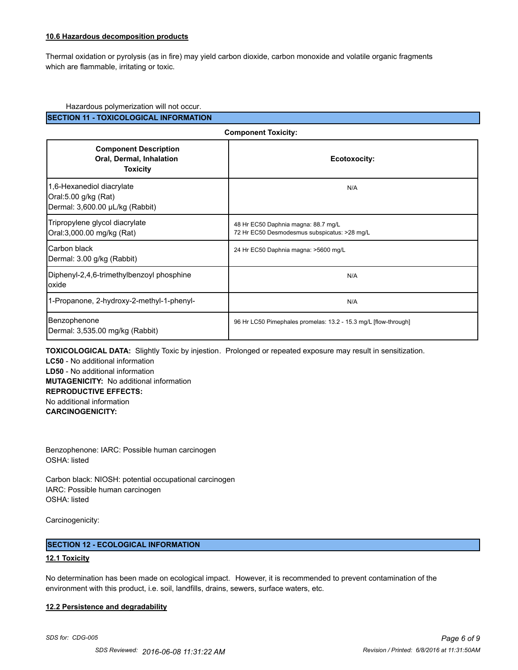# **10.6 Hazardous decomposition products**

Thermal oxidation or pyrolysis (as in fire) may yield carbon dioxide, carbon monoxide and volatile organic fragments which are flammable, irritating or toxic.

#### Hazardous polymerization will not occur.

**SECTION 11 - TOXICOLOGICAL INFORMATION**

| <b>Component Toxicity:</b>                                                           |                                                                                     |  |
|--------------------------------------------------------------------------------------|-------------------------------------------------------------------------------------|--|
| <b>Component Description</b><br>Oral, Dermal, Inhalation<br><b>Toxicity</b>          | Ecotoxocity:                                                                        |  |
| 1,6-Hexanediol diacrylate<br>Oral:5.00 g/kg (Rat)<br>Dermal: 3,600.00 µL/kg (Rabbit) | N/A                                                                                 |  |
| Tripropylene glycol diacrylate<br>Oral: 3,000.00 mg/kg (Rat)                         | 48 Hr EC50 Daphnia magna: 88.7 mg/L<br>72 Hr EC50 Desmodesmus subspicatus: >28 mg/L |  |
| Carbon black<br>Dermal: 3.00 g/kg (Rabbit)                                           | 24 Hr EC50 Daphnia magna: >5600 mg/L                                                |  |
| Diphenyl-2,4,6-trimethylbenzoyl phosphine<br>loxide                                  | N/A                                                                                 |  |
| 1-Propanone, 2-hydroxy-2-methyl-1-phenyl-                                            | N/A                                                                                 |  |
| Benzophenone<br>Dermal: 3,535.00 mg/kg (Rabbit)                                      | 96 Hr LC50 Pimephales promelas: 13.2 - 15.3 mg/L [flow-through]                     |  |

**TOXICOLOGICAL DATA:** Slightly Toxic by injestion. Prolonged or repeated exposure may result in sensitization.

**LC50** - No additional information **LD50** - No additional information **MUTAGENICITY:** No additional information **REPRODUCTIVE EFFECTS:** No additional information **CARCINOGENICITY:**

Benzophenone: IARC: Possible human carcinogen OSHA: listed

Carbon black: NIOSH: potential occupational carcinogen IARC: Possible human carcinogen OSHA: listed

Carcinogenicity:

#### **SECTION 12 - ECOLOGICAL INFORMATION**

#### **12.1 Toxicity**

No determination has been made on ecological impact. However, it is recommended to prevent contamination of the environment with this product, i.e. soil, landfills, drains, sewers, surface waters, etc.

#### **12.2 Persistence and degradability**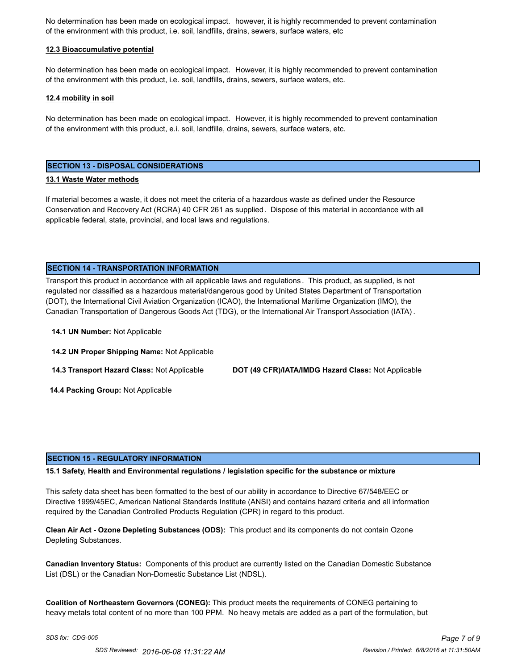No determination has been made on ecological impact. however, it is highly recommended to prevent contamination of the environment with this product, i.e. soil, landfills, drains, sewers, surface waters, etc

### **12.3 Bioaccumulative potential**

No determination has been made on ecological impact. However, it is highly recommended to prevent contamination of the environment with this product, i.e. soil, landfills, drains, sewers, surface waters, etc.

#### **12.4 mobility in soil**

No determination has been made on ecological impact. However, it is highly recommended to prevent contamination of the environment with this product, e.i. soil, landfille, drains, sewers, surface waters, etc.

#### **SECTION 13 - DISPOSAL CONSIDERATIONS**

#### **13.1 Waste Water methods**

If material becomes a waste, it does not meet the criteria of a hazardous waste as defined under the Resource Conservation and Recovery Act (RCRA) 40 CFR 261 as supplied. Dispose of this material in accordance with all applicable federal, state, provincial, and local laws and regulations.

#### **SECTION 14 - TRANSPORTATION INFORMATION**

Transport this product in accordance with all applicable laws and regulations . This product, as supplied, is not regulated nor classified as a hazardous material/dangerous good by United States Department of Transportation (DOT), the International Civil Aviation Organization (ICAO), the International Maritime Organization (IMO), the Canadian Transportation of Dangerous Goods Act (TDG), or the International Air Transport Association (IATA) .

**14.1 UN Number:** Not Applicable

**14.2 UN Proper Shipping Name:** Not Applicable

**14.3 Transport Hazard Class:** Not Applicable **DOT (49 CFR)/IATA/IMDG Hazard Class:** Not Applicable

 **14.4 Packing Group:** Not Applicable

#### **SECTION 15 - REGULATORY INFORMATION**

#### **15.1 Safety, Health and Environmental regulations / legislation specific for the substance or mixture**

This safety data sheet has been formatted to the best of our ability in accordance to Directive 67/548/EEC or Directive 1999/45EC, American National Standards Institute (ANSI) and contains hazard criteria and all information required by the Canadian Controlled Products Regulation (CPR) in regard to this product.

**Clean Air Act - Ozone Depleting Substances (ODS):** This product and its components do not contain Ozone Depleting Substances.

**Canadian Inventory Status:** Components of this product are currently listed on the Canadian Domestic Substance List (DSL) or the Canadian Non-Domestic Substance List (NDSL).

**Coalition of Northeastern Governors (CONEG):** This product meets the requirements of CONEG pertaining to heavy metals total content of no more than 100 PPM. No heavy metals are added as a part of the formulation, but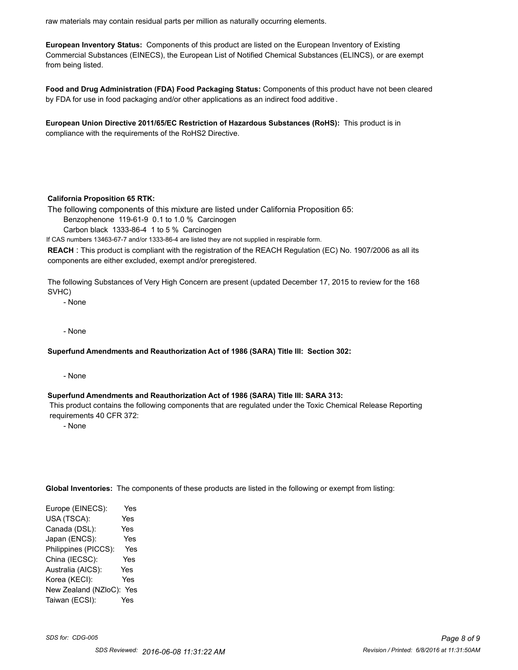raw materials may contain residual parts per million as naturally occurring elements.

**European Inventory Status:** Components of this product are listed on the European Inventory of Existing Commercial Substances (EINECS), the European List of Notified Chemical Substances (ELINCS), or are exempt from being listed.

**Food and Drug Administration (FDA) Food Packaging Status:** Components of this product have not been cleared by FDA for use in food packaging and/or other applications as an indirect food additive .

**European Union Directive 2011/65/EC Restriction of Hazardous Substances (RoHS):** This product is in compliance with the requirements of the RoHS2 Directive.

#### **California Proposition 65 RTK:**

The following components of this mixture are listed under California Proposition 65:

Benzophenone 119-61-9 0.1 to 1.0 % Carcinogen

Carbon black 1333-86-4 1 to 5 % Carcinogen

If CAS numbers 13463-67-7 and/or 1333-86-4 are listed they are not supplied in respirable form.

**REACH** : This product is compliant with the registration of the REACH Regulation (EC) No. 1907/2006 as all its components are either excluded, exempt and/or preregistered.

The following Substances of Very High Concern are present (updated December 17, 2015 to review for the 168 SVHC)

- None

- None

#### **Superfund Amendments and Reauthorization Act of 1986 (SARA) Title III: Section 302:**

- None

#### **Superfund Amendments and Reauthorization Act of 1986 (SARA) Title III: SARA 313:**

 This product contains the following components that are regulated under the Toxic Chemical Release Reporting requirements 40 CFR 372:

- None

**Global Inventories:** The components of these products are listed in the following or exempt from listing:

Europe (EINECS): Yes USA (TSCA): Yes Canada (DSL): Yes Japan (ENCS): Yes Philippines (PICCS): Yes China (IECSC): Yes Australia (AICS): Yes Korea (KECI): Yes New Zealand (NZloC): Yes Taiwan (ECSI): Yes